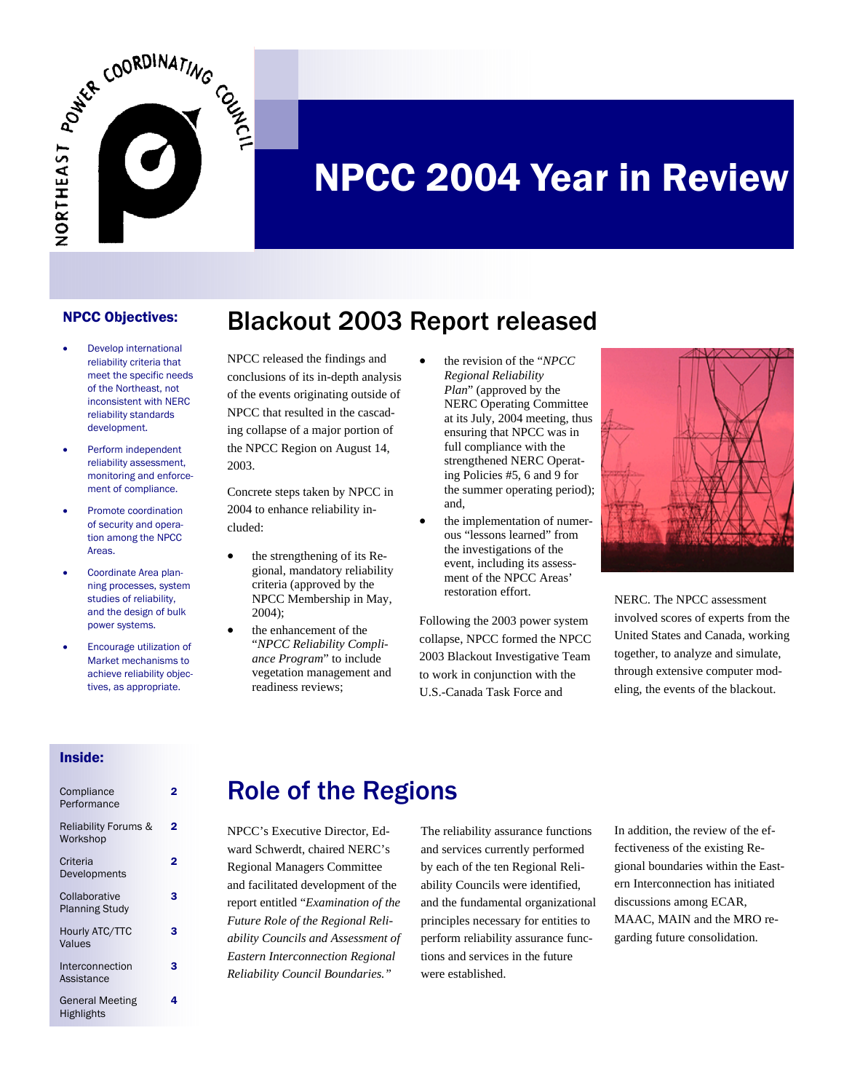

# NPCC 2004 Year in Review

#### NPCC Objectives:

- Develop international reliability criteria that meet the specific needs of the Northeast, not inconsistent with NERC reliability standards development.
- Perform independent reliability assessment, monitoring and enforcement of compliance.
- Promote coordination of security and operation among the NPCC Areas.
- Coordinate Area planning processes, system studies of reliability, and the design of bulk power systems.
- Encourage utilization of Market mechanisms to achieve reliability objectives, as appropriate.

NPCC released the findings and conclusions of its in-depth analysis of the events originating outside of NPCC that resulted in the cascading collapse of a major portion of the NPCC Region on August 14, 2003.

Blackout 2003 Report released

Concrete steps taken by NPCC in 2004 to enhance reliability included:

- the strengthening of its Regional, mandatory reliability criteria (approved by the NPCC Membership in May, 2004);
- the enhancement of the "*NPCC Reliability Compliance Program*" to include vegetation management and readiness reviews;
- the revision of the "*NPCC Regional Reliability Plan*" (approved by the NERC Operating Committee at its July, 2004 meeting, thus ensuring that NPCC was in full compliance with the strengthened NERC Operating Policies #5, 6 and 9 for the summer operating period); and,
- the implementation of numerous "lessons learned" from the investigations of the event, including its assessment of the NPCC Areas' restoration effort.

Following the 2003 power system collapse, NPCC formed the NPCC 2003 Blackout Investigative Team to work in conjunction with the U.S.-Canada Task Force and



NERC. The NPCC assessment involved scores of experts from the United States and Canada, working together, to analyze and simulate, through extensive computer modeling, the events of the blackout.

#### Inside:

| Compliance<br>Performance                   |   |
|---------------------------------------------|---|
| <b>Reliability Forums &amp;</b><br>Workshop | 2 |
| Criteria<br>Developments                    | 2 |
| Collaborative<br><b>Planning Study</b>      | з |
| Hourly ATC/TTC<br>Values                    | з |
| Interconnection<br>Assistance               | з |
| <b>General Meeting</b><br><b>Highlights</b> | 4 |

## Role of the Regions

NPCC's Executive Director, Edward Schwerdt, chaired NERC's Regional Managers Committee and facilitated development of the report entitled "*Examination of the Future Role of the Regional Reliability Councils and Assessment of Eastern Interconnection Regional Reliability Council Boundaries."* 

The reliability assurance functions and services currently performed by each of the ten Regional Reliability Councils were identified, and the fundamental organizational principles necessary for entities to perform reliability assurance functions and services in the future were established.

In addition, the review of the effectiveness of the existing Regional boundaries within the Eastern Interconnection has initiated discussions among ECAR, MAAC, MAIN and the MRO regarding future consolidation.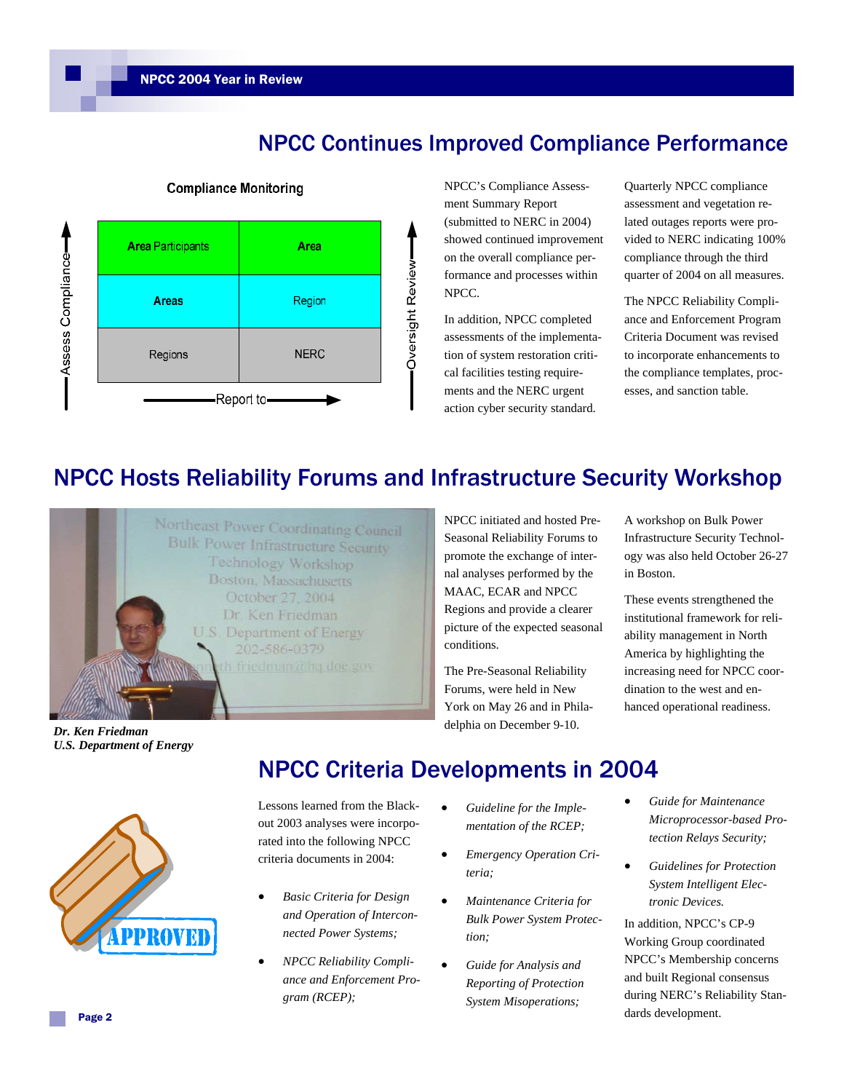

### NPCC Continues Improved Compliance Performance

NPCC's Compliance Assessment Summary Report (submitted to NERC in 2004) showed continued improvement on the overall compliance performance and processes within NPCC.

In addition, NPCC completed assessments of the implementation of system restoration critical facilities testing requirements and the NERC urgent action cyber security standard.

Quarterly NPCC compliance assessment and vegetation related outages reports were provided to NERC indicating 100% compliance through the third quarter of 2004 on all measures.

The NPCC Reliability Compliance and Enforcement Program Criteria Document was revised to incorporate enhancements to the compliance templates, processes, and sanction table.

## NPCC Hosts Reliability Forums and Infrastructure Security Workshop



NPCC initiated and hosted Pre-Seasonal Reliability Forums to promote the exchange of internal analyses performed by the MAAC, ECAR and NPCC Regions and provide a clearer picture of the expected seasonal conditions.

The Pre-Seasonal Reliability Forums, were held in New York on May 26 and in Philadelphia on December 9-10.

A workshop on Bulk Power Infrastructure Security Technology was also held October 26-27 in Boston.

These events strengthened the institutional framework for reliability management in North America by highlighting the increasing need for NPCC coordination to the west and enhanced operational readiness.

*Dr. Ken Friedman U.S. Department of Energy*



## NPCC Criteria Developments in 2004

Lessons learned from the Blackout 2003 analyses were incorporated into the following NPCC criteria documents in 2004:

- *Basic Criteria for Design and Operation of Interconnected Power Systems;*
- *NPCC Reliability Compliance and Enforcement Program (RCEP);*
- *Guideline for the Implementation of the RCEP;*
- *Emergency Operation Criteria;*
- *Maintenance Criteria for Bulk Power System Protection;*
- *Guide for Analysis and Reporting of Protection System Misoperations;*
- *Guide for Maintenance Microprocessor-based Protection Relays Security;*
- *Guidelines for Protection System Intelligent Electronic Devices.*

In addition, NPCC's CP-9 Working Group coordinated NPCC's Membership concerns and built Regional consensus during NERC's Reliability Standards development.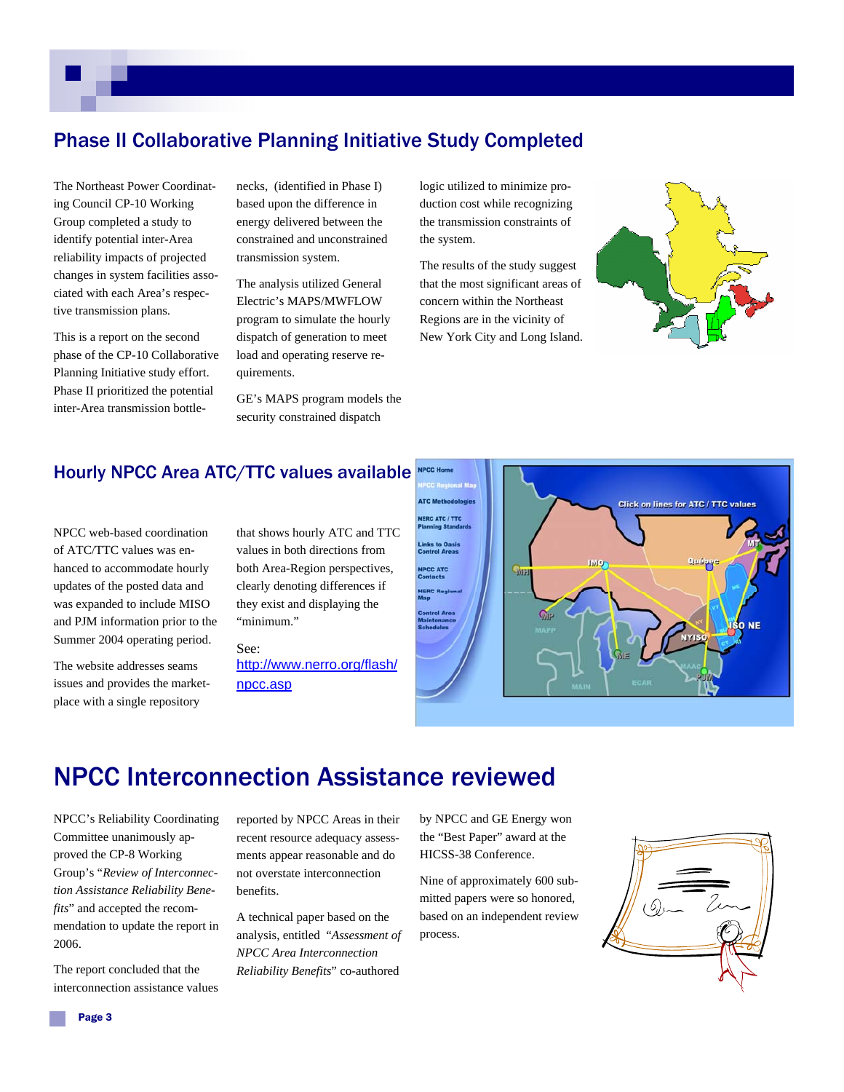#### Phase II Collaborative Planning Initiative Study Completed

The Northeast Power Coordinating Council CP-10 Working Group completed a study to identify potential inter-Area reliability impacts of projected changes in system facilities associated with each Area's respective transmission plans.

This is a report on the second phase of the CP-10 Collaborative Planning Initiative study effort. Phase II prioritized the potential inter-Area transmission bottlenecks, (identified in Phase I) based upon the difference in energy delivered between the constrained and unconstrained transmission system.

The analysis utilized General Electric's MAPS/MWFLOW program to simulate the hourly dispatch of generation to meet load and operating reserve requirements.

GE's MAPS program models the security constrained dispatch

logic utilized to minimize production cost while recognizing the transmission constraints of the system.

The results of the study suggest that the most significant areas of concern within the Northeast Regions are in the vicinity of New York City and Long Island.



#### Hourly NPCC Area ATC/TTC values available

NPCC web-based coordination of ATC/TTC values was enhanced to accommodate hourly updates of the posted data and was expanded to include MISO and PJM information prior to the Summer 2004 operating period.

The website addresses seams issues and provides the marketplace with a single repository

that shows hourly ATC and TTC values in both directions from both Area-Region perspectives, clearly denoting differences if they exist and displaying the "minimum."

See: http://www.nerro.org/flash/ npcc.asp



## NPCC Interconnection Assistance reviewed

NPCC's Reliability Coordinating Committee unanimously approved the CP-8 Working Group's "*Review of Interconnection Assistance Reliability Benefits*" and accepted the recommendation to update the report in 2006.

The report concluded that the interconnection assistance values reported by NPCC Areas in their recent resource adequacy assessments appear reasonable and do not overstate interconnection benefits.

A technical paper based on the analysis, entitled "*Assessment of NPCC Area Interconnection Reliability Benefits*" co-authored

by NPCC and GE Energy won the "Best Paper" award at the HICSS-38 Conference.

Nine of approximately 600 submitted papers were so honored, based on an independent review process.